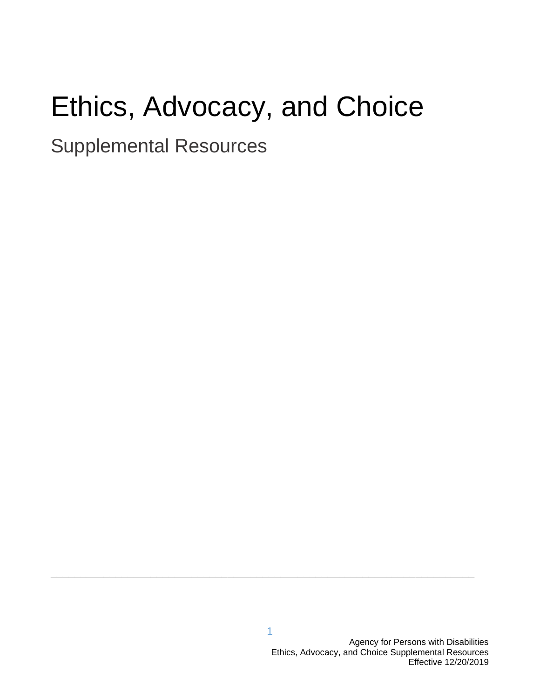# Ethics, Advocacy, and Choice

Supplemental Resources

**\_\_\_\_\_\_\_\_\_\_\_\_\_\_\_\_\_\_\_\_\_\_\_\_\_\_\_\_\_\_\_\_\_\_\_\_\_\_\_\_\_\_\_\_\_\_\_\_\_\_\_\_\_\_\_\_\_\_\_\_\_\_\_\_\_\_\_\_\_\_\_\_**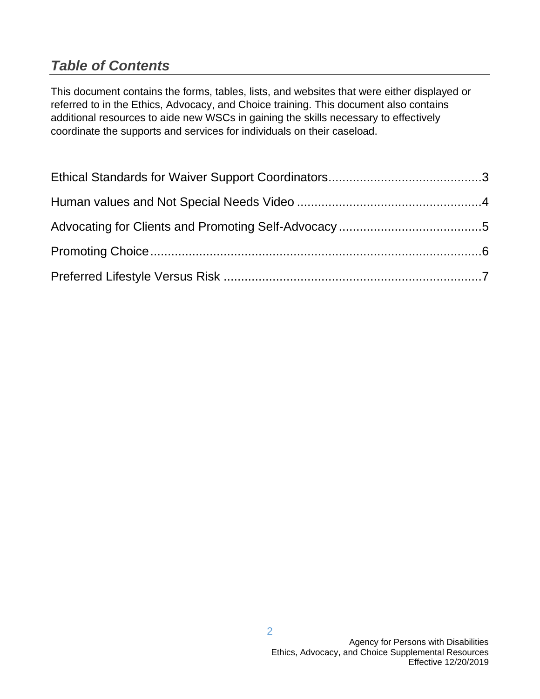# *Table of Contents*

This document contains the forms, tables, lists, and websites that were either displayed or referred to in the Ethics, Advocacy, and Choice training. This document also contains additional resources to aide new WSCs in gaining the skills necessary to effectively coordinate the supports and services for individuals on their caseload.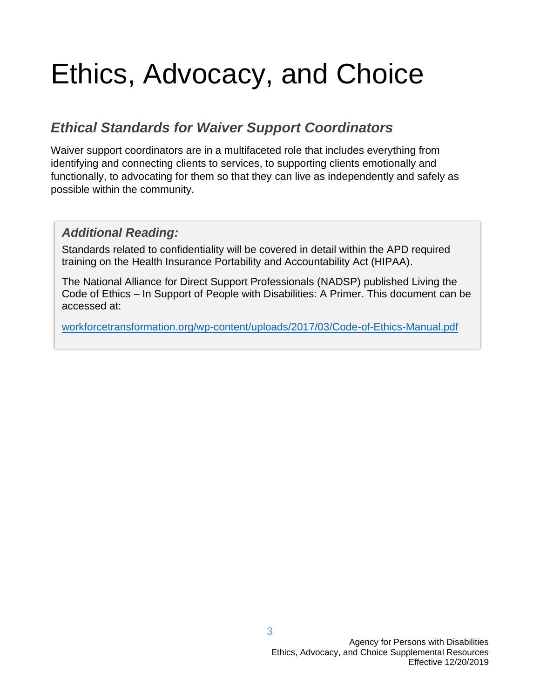# Ethics, Advocacy, and Choice

## *Ethical Standards for Waiver Support Coordinators*

Waiver support coordinators are in a multifaceted role that includes everything from identifying and connecting clients to services, to supporting clients emotionally and functionally, to advocating for them so that they can live as independently and safely as possible within the community.

#### *Additional Reading:*

Standards related to confidentiality will be covered in detail within the APD required training on the Health Insurance Portability and Accountability Act (HIPAA).

The National Alliance for Direct Support Professionals (NADSP) published Living the Code of Ethics – In Support of People with Disabilities: A Primer. This document can be accessed at:

[workforcetransformation.org/wp-content/uploads/2017/03/Code-of-Ethics-Manual.pdf](https://apdfl-my.sharepoint.com/personal/kelli_michels_apdcares_org/Documents/Training%20and%20Research/WSC%20PreService/WSC-Pre-Service-Ethics,%20Advocacy,%20Choice/Ethics_Advocacy_Choice_All.Files/www.workforcetransformation.org/wp-content/uploads/2017/03/Code-of-Ethics-Manual.pdf)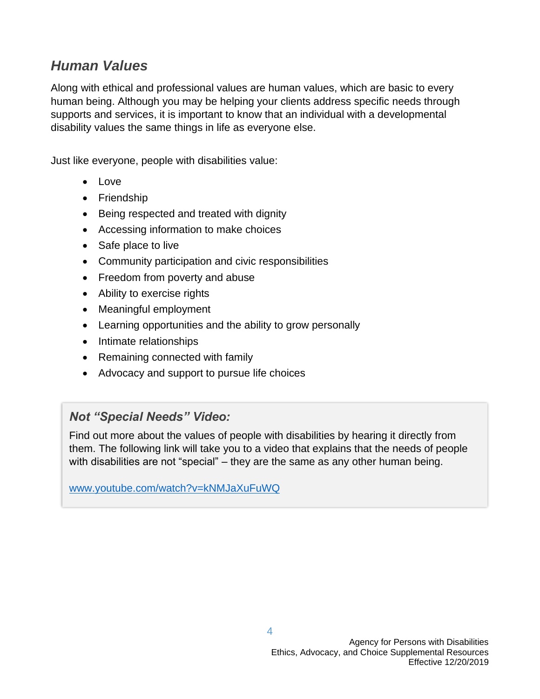## *Human Values*

Along with ethical and professional values are human values, which are basic to every human being. Although you may be helping your clients address specific needs through supports and services, it is important to know that an individual with a developmental disability values the same things in life as everyone else.

Just like everyone, people with disabilities value:

- Love
- Friendship
- Being respected and treated with dignity
- Accessing information to make choices
- Safe place to live
- Community participation and civic responsibilities
- Freedom from poverty and abuse
- Ability to exercise rights
- Meaningful employment
- Learning opportunities and the ability to grow personally
- Intimate relationships
- Remaining connected with family
- Advocacy and support to pursue life choices

### *Not "Special Needs" Video:*

Find out more about the values of people with disabilities by hearing it directly from them. The following link will take you to a video that explains that the needs of people with disabilities are not "special" – they are the same as any other human being.

[www.youtube.com/watch?v=kNMJaXuFuWQ](https://www.youtube.com/watch?v=kNMJaXuFuWQ)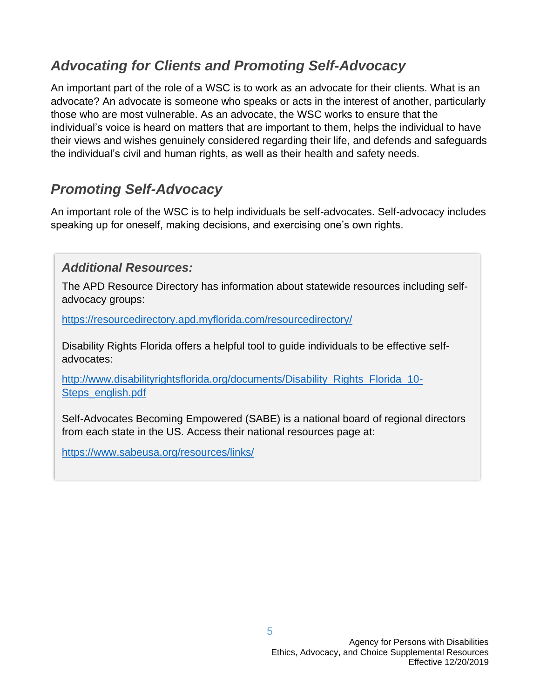# *Advocating for Clients and Promoting Self-Advocacy*

An important part of the role of a WSC is to work as an advocate for their clients. What is an advocate? An advocate is someone who speaks or acts in the interest of another, particularly those who are most vulnerable. As an advocate, the WSC works to ensure that the individual's voice is heard on matters that are important to them, helps the individual to have their views and wishes genuinely considered regarding their life, and defends and safeguards the individual's civil and human rights, as well as their health and safety needs.

# *Promoting Self-Advocacy*

An important role of the WSC is to help individuals be self-advocates. Self-advocacy includes speaking up for oneself, making decisions, and exercising one's own rights.

#### *Additional Resources:*

The APD Resource Directory has information about statewide resources including selfadvocacy groups:

<https://resourcedirectory.apd.myflorida.com/resourcedirectory/>

Disability Rights Florida offers a helpful tool to guide individuals to be effective selfadvocates:

[http://www.disabilityrightsflorida.org/documents/Disability\\_Rights\\_Florida\\_10-](http://www.disabilityrightsflorida.org/documents/Disability_Rights_Florida_10-Steps_english.pdf) [Steps\\_english.pdf](http://www.disabilityrightsflorida.org/documents/Disability_Rights_Florida_10-Steps_english.pdf)

Self-Advocates Becoming Empowered (SABE) is a national board of regional directors from each state in the US. Access their national resources page at:

<https://www.sabeusa.org/resources/links/>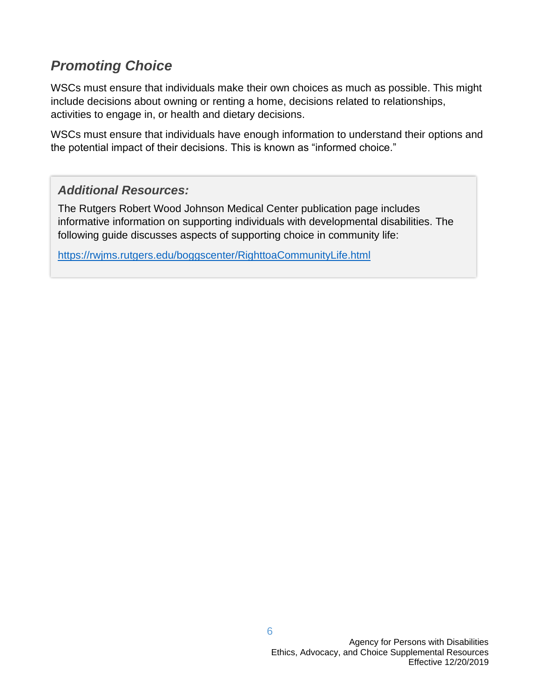# *Promoting Choice*

WSCs must ensure that individuals make their own choices as much as possible. This might include decisions about owning or renting a home, decisions related to relationships, activities to engage in, or health and dietary decisions.

WSCs must ensure that individuals have enough information to understand their options and the potential impact of their decisions. This is known as "informed choice."

#### *Additional Resources:*

The Rutgers Robert Wood Johnson Medical Center publication page includes informative information on supporting individuals with developmental disabilities. The following guide discusses aspects of supporting choice in community life:

<https://rwjms.rutgers.edu/boggscenter/RighttoaCommunityLife.html>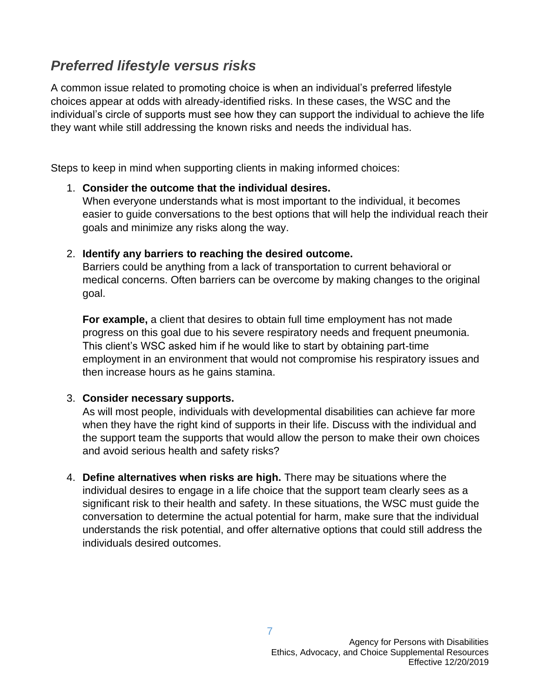## *Preferred lifestyle versus risks*

A common issue related to promoting choice is when an individual's preferred lifestyle choices appear at odds with already-identified risks. In these cases, the WSC and the individual's circle of supports must see how they can support the individual to achieve the life they want while still addressing the known risks and needs the individual has.

Steps to keep in mind when supporting clients in making informed choices:

#### 1. **Consider the outcome that the individual desires.**

When everyone understands what is most important to the individual, it becomes easier to guide conversations to the best options that will help the individual reach their goals and minimize any risks along the way.

#### 2. **Identify any barriers to reaching the desired outcome.**

Barriers could be anything from a lack of transportation to current behavioral or medical concerns. Often barriers can be overcome by making changes to the original goal.

**For example,** a client that desires to obtain full time employment has not made progress on this goal due to his severe respiratory needs and frequent pneumonia. This client's WSC asked him if he would like to start by obtaining part-time employment in an environment that would not compromise his respiratory issues and then increase hours as he gains stamina.

#### 3. **Consider necessary supports.**

As will most people, individuals with developmental disabilities can achieve far more when they have the right kind of supports in their life. Discuss with the individual and the support team the supports that would allow the person to make their own choices and avoid serious health and safety risks?

4. **Define alternatives when risks are high.** There may be situations where the individual desires to engage in a life choice that the support team clearly sees as a significant risk to their health and safety. In these situations, the WSC must guide the conversation to determine the actual potential for harm, make sure that the individual understands the risk potential, and offer alternative options that could still address the individuals desired outcomes.